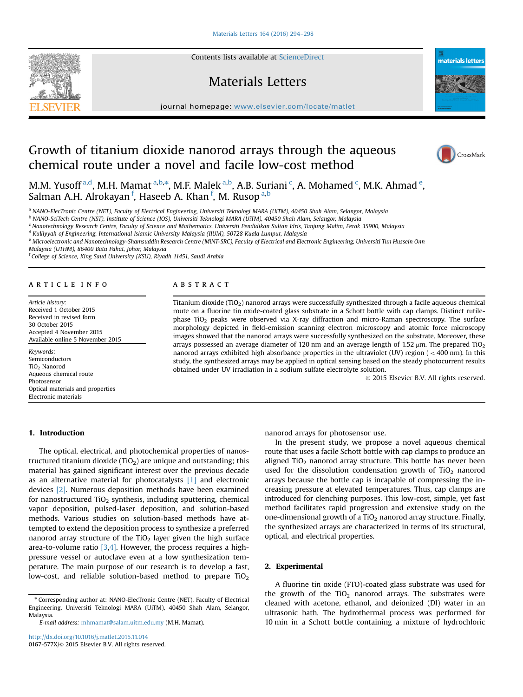Contents lists available at [ScienceDirect](www.sciencedirect.com/science/journal/0167577X)

## Materials Letters

journal homepage: <www.elsevier.com/locate/matlet>te/matlette/matlette/matlette/matlette/matlette/matlette/matlette/matlette/matlette/matlette/matlette/matlette/matlette/matlette/matlette/matlette/matlette/matlette/matlette

# Growth of titanium dioxide nanorod arrays through the aqueous chemical route under a novel and facile low-cost method

M.M. Yusoff <sup>a,d</sup>, M.H. Mamat <sup>a,b,\*</sup>, M.F. Malek <sup>a,b</sup>, A.B. Suriani <sup>c</sup>, A. Mohamed <sup>c</sup>, M.K. Ahmad <sup>e</sup>, Salman A.H. Alrokayan <sup>f</sup>, Haseeb A. Khan <sup>f</sup>, M. Rusop <sup>a,b</sup>

<sup>a</sup> NANO-ElecTronic Centre (NET), Faculty of Electrical Engineering, Universiti Teknologi MARA (UiTM), 40450 Shah Alam, Selangor, Malaysia

<sup>b</sup> NANO-SciTech Centre (NST), Institute of Science (IOS), Universiti Teknologi MARA (UiTM), 40450 Shah Alam, Selangor, Malaysia

**ABSTRACT** 

<sup>c</sup> Nanotechnology Research Centre, Faculty of Science and Mathematics, Universiti Pendidikan Sultan Idris, Tanjung Malim, Perak 35900, Malaysia

<sup>d</sup> Kulliyyah of Engineering, International Islamic University Malaysia (IIUM), 50728 Kuala Lumpur, Malaysia

<sup>e</sup> Microelectronic and Nanotechnology-Shamsuddin Research Centre (MiNT-SRC), Faculty of Electrical and Electronic Engineering, Universiti Tun Hussein Onn

Malaysia (UTHM), 86400 Batu Pahat, Johor, Malaysia

<sup>f</sup> College of Science, King Saud University (KSU), Riyadh 11451, Saudi Arabia

#### article info

Article history: Received 1 October 2015 Received in revised form 30 October 2015 Accepted 4 November 2015 Available online 5 November 2015

Keywords: Semiconductors TiO2 Nanorod Aqueous chemical route Photosensor Optical materials and properties Electronic materials

# 1. Introduction

The optical, electrical, and photochemical properties of nanostructured titanium dioxide (TiO<sub>2</sub>) are unique and outstanding; this material has gained significant interest over the previous decade as an alternative material for photocatalysts [\[1\]](#page-3-0) and electronic devices [\[2\].](#page-3-0) Numerous deposition methods have been examined for nanostructured  $TiO<sub>2</sub>$  synthesis, including sputtering, chemical vapor deposition, pulsed-laser deposition, and solution-based methods. Various studies on solution-based methods have attempted to extend the deposition process to synthesize a preferred nanorod array structure of the  $TiO<sub>2</sub>$  layer given the high surface area-to-volume ratio  $[3,4]$ . However, the process requires a highpressure vessel or autoclave even at a low synthesization temperature. The main purpose of our research is to develop a fast, low-cost, and reliable solution-based method to prepare  $TiO<sub>2</sub>$ 

<sup>n</sup> Corresponding author at: NANO-ElecTronic Centre (NET), Faculty of Electrical Engineering, Universiti Teknologi MARA (UiTM), 40450 Shah Alam, Selangor, Malaysia.

E-mail address: [mhmamat@salam.uitm.edu.my](mailto:mhmamat@salam.uitm.edu.my) (M.H. Mamat).

nanorod arrays for photosensor use.

Titanium dioxide (TiO<sub>2</sub>) nanorod arrays were successfully synthesized through a facile aqueous chemical route on a fluorine tin oxide-coated glass substrate in a Schott bottle with cap clamps. Distinct rutilephase TiO<sub>2</sub> peaks were observed via X-ray diffraction and micro-Raman spectroscopy. The surface morphology depicted in field-emission scanning electron microscopy and atomic force microscopy images showed that the nanorod arrays were successfully synthesized on the substrate. Moreover, these arrays possessed an average diameter of 120 nm and an average length of 1.52  $\mu$ m. The prepared TiO<sub>2</sub> nanorod arrays exhibited high absorbance properties in the ultraviolet (UV) region ( $<$  400 nm). In this study, the synthesized arrays may be applied in optical sensing based on the steady photocurrent results

> In the present study, we propose a novel aqueous chemical route that uses a facile Schott bottle with cap clamps to produce an aligned TiO<sub>2</sub> nanorod array structure. This bottle has never been used for the dissolution condensation growth of  $TiO<sub>2</sub>$  nanorod arrays because the bottle cap is incapable of compressing the increasing pressure at elevated temperatures. Thus, cap clamps are introduced for clenching purposes. This low-cost, simple, yet fast method facilitates rapid progression and extensive study on the one-dimensional growth of a  $TiO<sub>2</sub>$  nanorod array structure. Finally, the synthesized arrays are characterized in terms of its structural, optical, and electrical properties.

 $\odot$  2015 Elsevier B.V. All rights reserved.

### 2. Experimental

obtained under UV irradiation in a sodium sulfate electrolyte solution.

A fluorine tin oxide (FTO)-coated glass substrate was used for the growth of the  $TiO<sub>2</sub>$  nanorod arrays. The substrates were cleaned with acetone, ethanol, and deionized (DI) water in an ultrasonic bath. The hydrothermal process was performed for 10 min in a Schott bottle containing a mixture of hydrochloric





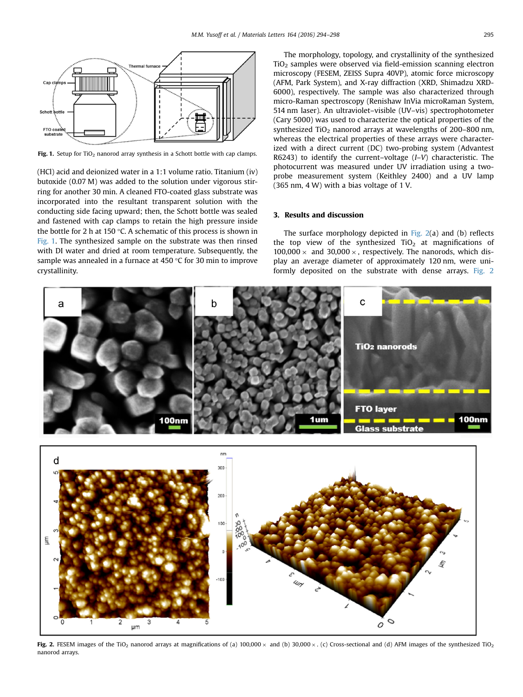<span id="page-1-0"></span>

Fig. 1. Setup for TiO<sub>2</sub> nanorod array synthesis in a Schott bottle with cap clamps.

(HCl) acid and deionized water in a 1:1 volume ratio. Titanium (iv) butoxide (0.07 M) was added to the solution under vigorous stirring for another 30 min. A cleaned FTO-coated glass substrate was incorporated into the resultant transparent solution with the conducting side facing upward; then, the Schott bottle was sealed and fastened with cap clamps to retain the high pressure inside the bottle for 2 h at 150 °C. A schematic of this process is shown in Fig. 1. The synthesized sample on the substrate was then rinsed with DI water and dried at room temperature. Subsequently, the sample was annealed in a furnace at 450 °C for 30 min to improve crystallinity.

The morphology, topology, and crystallinity of the synthesized  $TiO<sub>2</sub>$  samples were observed via field-emission scanning electron microscopy (FESEM, ZEISS Supra 40VP), atomic force microscopy (AFM, Park System), and X-ray diffraction (XRD, Shimadzu XRD-6000), respectively. The sample was also characterized through micro-Raman spectroscopy (Renishaw InVia microRaman System, 514 nm laser). An ultraviolet–visible (UV–vis) spectrophotometer (Cary 5000) was used to characterize the optical properties of the synthesized  $TiO<sub>2</sub>$  nanorod arrays at wavelengths of 200–800 nm, whereas the electrical properties of these arrays were characterized with a direct current (DC) two-probing system (Advantest R6243) to identify the current–voltage (I–V) characteristic. The photocurrent was measured under UV irradiation using a twoprobe measurement system (Keithley 2400) and a UV lamp (365 nm, 4 W) with a bias voltage of 1 V.

## 3. Results and discussion

The surface morphology depicted in Fig. 2(a) and (b) reflects the top view of the synthesized  $TiO<sub>2</sub>$  at magnifications of  $100,000 \times$  and  $30,000 \times$ , respectively. The nanorods, which display an average diameter of approximately 120 nm, were uniformly deposited on the substrate with dense arrays. Fig. 2





Fig. 2. FESEM images of the TiO<sub>2</sub> nanorod arrays at magnifications of (a)  $100,000 \times$  and (b)  $30,000 \times$ . (c) Cross-sectional and (d) AFM images of the synthesized TiO<sub>2</sub> nanorod arrays.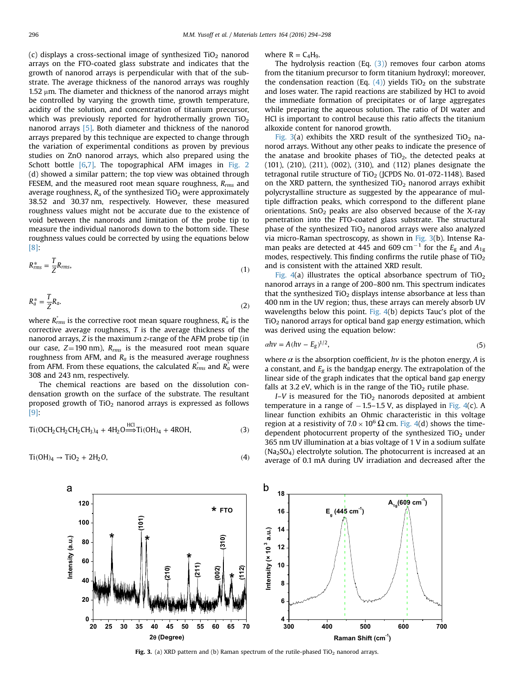(c) displays a cross-sectional image of synthesized  $TiO<sub>2</sub>$  nanorod arrays on the FTO-coated glass substrate and indicates that the growth of nanorod arrays is perpendicular with that of the substrate. The average thickness of the nanorod arrays was roughly 1.52  $\mu$ m. The diameter and thickness of the nanorod arrays might be controlled by varying the growth time, growth temperature, acidity of the solution, and concentration of titanium precursor, which was previously reported for hydrothermally grown  $TiO<sub>2</sub>$ nanorod arrays [\[5\]](#page-4-0). Both diameter and thickness of the nanorod arrays prepared by this technique are expected to change through the variation of experimental conditions as proven by previous studies on ZnO nanorod arrays, which also prepared using the Schott bottle [\[6,7\]](#page-4-0). The topographical AFM images in [Fig. 2](#page-1-0) (d) showed a similar pattern; the top view was obtained through FESEM, and the measured root mean square roughness,  $R_{rms}$  and average roughness,  $R_a$  of the synthesized TiO<sub>2</sub> were approximately 38.52 and 30.37 nm, respectively. However, these measured roughness values might not be accurate due to the existence of void between the nanorods and limitation of the probe tip to measure the individual nanorods down to the bottom side. These roughness values could be corrected by using the equations below [\[8\]](#page-4-0):

$$
R_{\rm rms}^* = \frac{T}{Z} R_{\rm rms},\tag{1}
$$

$$
R_a^* = \frac{T}{Z} R_a. \tag{2}
$$

where  $R_{rms}^*$  is the corrective root mean square roughness,  $R_{a}^*$  is the corrective average roughness,  $T$  is the average thickness of the nanorod arrays, Z is the maximum z-range of the AFM probe tip (in our case,  $Z=190$  nm),  $R_{rms}$  is the measured root mean square roughness from AFM, and  $R_a$  is the measured average roughness from AFM. From these equations, the calculated  $\overline{R_{rms}^*}$  and  $\overline{R_a^*}$  were 308 and 243 nm, respectively.

The chemical reactions are based on the dissolution condensation growth on the surface of the substrate. The resultant proposed growth of  $TiO<sub>2</sub>$  nanorod arrays is expressed as follows [\[9\]](#page-4-0):

$$
Ti(OCH_2CH_2CH_2CH_3)_4 + 4H_2O \stackrel{HCl}{\Longrightarrow} Ti(OH)_4 + 4ROH, \tag{3}
$$

$$
Ti(OH)_4 \rightarrow TiO_2 + 2H_2O,
$$
\n<sup>(4)</sup>

where  $R = C_4H_9$ .

The hydrolysis reaction (Eq.  $(3)$ ) removes four carbon atoms from the titanium precursor to form titanium hydroxyl; moreover, the condensation reaction (Eq.  $(4)$ ) yields TiO<sub>2</sub> on the substrate and loses water. The rapid reactions are stabilized by HCl to avoid the immediate formation of precipitates or of large aggregates while preparing the aqueous solution. The ratio of DI water and HCl is important to control because this ratio affects the titanium alkoxide content for nanorod growth.

Fig. 3(a) exhibits the XRD result of the synthesized TiO<sub>2</sub> nanorod arrays. Without any other peaks to indicate the presence of the anatase and brookite phases of  $TiO<sub>2</sub>$ , the detected peaks at (101), (210), (211), (002), (310), and (112) planes designate the tetragonal rutile structure of  $TiO<sub>2</sub>$  (JCPDS No. 01-072-1148). Based on the XRD pattern, the synthesized  $TiO<sub>2</sub>$  nanorod arrays exhibit polycrystalline structure as suggested by the appearance of multiple diffraction peaks, which correspond to the different plane orientations.  $SnO<sub>2</sub>$  peaks are also observed because of the X-ray penetration into the FTO-coated glass substrate. The structural phase of the synthesized  $TiO<sub>2</sub>$  nanorod arrays were also analyzed via micro-Raman spectroscopy, as shown in Fig. 3(b). Intense Raman peaks are detected at 445 and 609 cm<sup>-1</sup> for the  $E<sub>g</sub>$  and  $A<sub>1g</sub>$ modes, respectively. This finding confirms the rutile phase of  $TiO<sub>2</sub>$ and is consistent with the attained XRD result.

Fig.  $4(a)$  illustrates the optical absorbance spectrum of TiO<sub>2</sub> nanorod arrays in a range of 200–800 nm. This spectrum indicates that the synthesized  $TiO<sub>2</sub>$  displays intense absorbance at less than 400 nm in the UV region; thus, these arrays can merely absorb UV wavelengths below this point. Fig.  $4(b)$  depicts Tauc's plot of the TiO2 nanorod arrays for optical band gap energy estimation, which was derived using the equation below:

$$
ahv = A(hv - E_g)^{1/2},\tag{5}
$$

where  $\alpha$  is the absorption coefficient, hv is the photon energy, A is a constant, and  $E_g$  is the bandgap energy. The extrapolation of the linear side of the graph indicates that the optical band gap energy falls at 3.2 eV, which is in the range of the  $TiO<sub>2</sub>$  rutile phase.

 $I-V$  is measured for the TiO<sub>2</sub> nanorods deposited at ambient temperature in a range of  $-1.5-1.5$  V, as displayed in [Fig. 4](#page-3-0)(c). A linear function exhibits an Ohmic characteristic in this voltage region at a resistivity of 7.0  $\times$  10<sup>6</sup> Ω cm. [Fig. 4\(](#page-3-0)d) shows the timedependent photocurrent property of the synthesized TiO<sub>2</sub> under 365 nm UV illumination at a bias voltage of 1 V in a sodium sulfate  $(Na<sub>2</sub>SO<sub>4</sub>)$  electrolyte solution. The photocurrent is increased at an average of 0.1 mA during UV irradiation and decreased after the



Fig. 3. (a) XRD pattern and (b) Raman spectrum of the rutile-phased TiO<sub>2</sub> nanorod arrays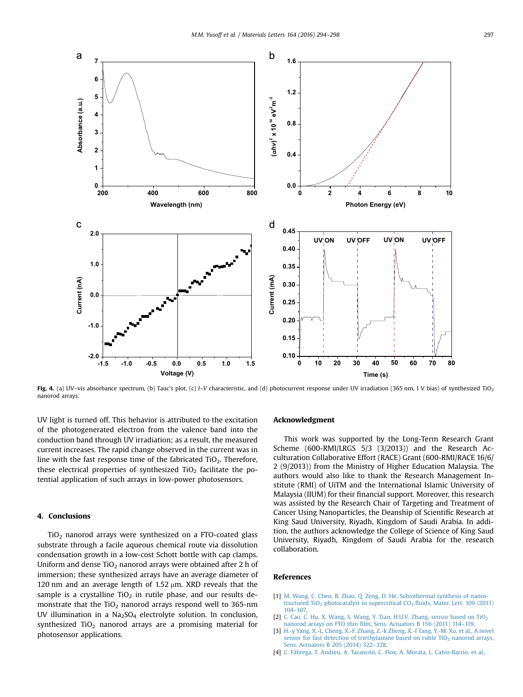<span id="page-3-0"></span>

Fig. 4. (a) UV–vis absorbance spectrum, (b) Tauc's plot, (c) I–V characteristic, and (d) photocurrent response under UV irradiation (365 nm, 1 V bias) of synthesized TiO<sub>2</sub> nanorod arrays.

UV light is turned off. This behavior is attributed to the excitation of the photogenerated electron from the valence band into the conduction band through UV irradiation; as a result, the measured current increases. The rapid change observed in the current was in line with the fast response time of the fabricated  $TiO<sub>2</sub>$ . Therefore, these electrical properties of synthesized  $TiO<sub>2</sub>$  facilitate the potential application of such arrays in low-power photosensors.

### 4. Conclusions

 $TiO<sub>2</sub>$  nanorod arrays were synthesized on a FTO-coated glass substrate through a facile aqueous chemical route via dissolution condensation growth in a low-cost Schott bottle with cap clamps. Uniform and dense  $TiO<sub>2</sub>$  nanorod arrays were obtained after 2 h of immersion; these synthesized arrays have an average diameter of 120 nm and an average length of 1.52  $\mu$ m. XRD reveals that the sample is a crystalline  $TiO<sub>2</sub>$  in rutile phase, and our results demonstrate that the  $TiO<sub>2</sub>$  nanorod arrays respond well to 365-nm UV illumination in a  $Na<sub>2</sub>SO<sub>4</sub>$  electrolyte solution. In conclusion, synthesized  $TiO<sub>2</sub>$  nanorod arrays are a promising material for photosensor applications.

#### Acknowledgment

This work was supported by the Long-Term Research Grant Scheme (600-RMI/LRGS 5/3 (3/2013)) and the Research Acculturation Collaborative Effort (RACE) Grant (600-RMI/RACE 16/6/ 2 (9/2013)) from the Ministry of Higher Education Malaysia. The authors would also like to thank the Research Management Institute (RMI) of UiTM and the International Islamic University of Malaysia (IIUM) for their financial support. Moreover, this research was assisted by the Research Chair of Targeting and Treatment of Cancer Using Nanoparticles, the Deanship of Scientific Research at King Saud University, Riyadh, Kingdom of Saudi Arabia. In addition, the authors acknowledge the College of Science of King Saud University, Riyadh, Kingdom of Saudi Arabia for the research collaboration.

#### References

- [1] [M. Wang, C. Chen, B. Zhao, Q. Zeng, D. He, Solvothermal synthesis of nanos](http://refhub.elsevier.com/S0167-577X(15)30835-1/sbref1)tructured TiO<sub>2</sub> photocatalyst in supercritical  $CO<sub>2</sub>$  fl[uids, Mater. Lett. 109 \(2013\)](http://refhub.elsevier.com/S0167-577X(15)30835-1/sbref1) [104](http://refhub.elsevier.com/S0167-577X(15)30835-1/sbref1)–[107.](http://refhub.elsevier.com/S0167-577X(15)30835-1/sbref1)
- [2] C. Cao, C. Hu, X. Wang, S. Wang, Y. Tian, H.U.V. Zhang, sensor based on TiO<sub>2</sub> nanorod arrays on FTO thin fi[lm, Sens. Actuators B 156 \(2011\) 114](http://refhub.elsevier.com/S0167-577X(15)30835-1/sbref2)–119.
- [3] [H.-y Yang, X.-L. Cheng, X.-F. Zhang, Z.-k Zheng, X.-f Tang, Y.-M. Xu, et al., A novel](http://refhub.elsevier.com/S0167-577X(15)30835-1/sbref3) sensor for fast detection of triethylamine based on rutile  $TiO<sub>2</sub>$  [nanorod arrays,](http://refhub.elsevier.com/S0167-577X(15)30835-1/sbref3) [Sens. Actuators B 205 \(2014\) 322](http://refhub.elsevier.com/S0167-577X(15)30835-1/sbref3)–328.
- [4] [C. Fàbrega, T. Andreu, A. Tarancón, C. Flox, A. Morata, L. Calvo-Barrio, et al.,](http://refhub.elsevier.com/S0167-577X(15)30835-1/sbref4)